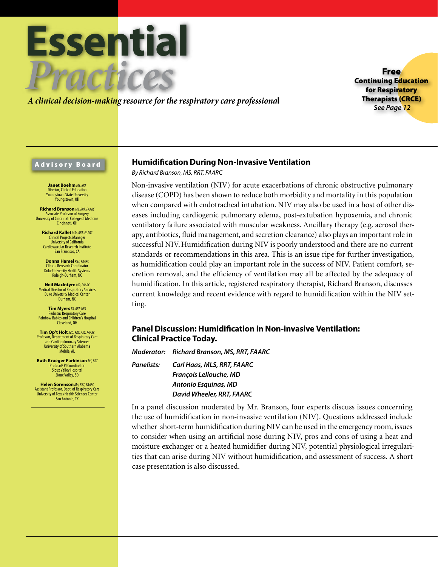

*A clinical decision-making resource for the respiratory care professiona*l

Free Continuing Education for Respiratory Therapists (CRCE) *See Page 12*

# Advisory Board

**Janet Boehm** MS, RRT Director, Clinical Education Youngstown State University .<br>Younastown, OH

**Richard Branson** *MS, RRT, FAARC* Associate Professor of Surgery University of Cincinnati College of Medicine Cincinnati, OH

**Richard Kallet** *MSc, RRT, FAARC* Clinical Projects Manager University of California Cardiovascular Research Institute San Francisco, CA

**Donna Hamel***RRT, FAARC* Clinical Research Coordinator Duke University Health Systems Raleigh-Durham, NC

**Neil MacIntyre** *MD, FAARC* Medical Director of Respiratory Services Duke University Medical Center Durham, NC

**Tim Myers** *BS, RRT-NPS* Pediatric Respiratory Care Rainbow Babies and Children's Hospital Cleveland, OH

**Tim Op't Holt***EdD, RRT, AEC, FAARC* Professor, Department of Respiratory Care and Cardiopulmonary Sciences University of Southern Alabama Mobile, AL

**Ruth Krueger Parkinson** *MS, RRT* Protocol/ PI Coordinator Sioux Valley Hospital Sioux Valley, SD

**Helen Sorenson** *MA, RRT, FAARC* Assistant Professor, Dept. of Respiratory Care University of Texas Health Sciences Center San Antonio, TX

# **Humidification During Non-Invasive Ventilation**

*By Richard Branson, MS, RRT, FAARC*

Non-invasive ventilation (NIV) for acute exacerbations of chronic obstructive pulmonary disease (COPD) has been shown to reduce both morbidity and mortality in this population when compared with endotracheal intubation. NIV may also be used in a host of other diseases including cardiogenic pulmonary edema, post-extubation hypoxemia, and chronic ventilatory failure associated with muscular weakness. Ancillary therapy (e.g. aerosol therapy, antibiotics, fluid management, and secretion clearance) also plays an important role in successful NIV.Humidification during NIV is poorly understood and there are no current standards or recommendations in this area. This is an issue ripe for further investigation, as humidification could play an important role in the success of NIV. Patient comfort, secretion removal, and the efficiency of ventilation may all be affected by the adequacy of humidification. In this article, registered respiratory therapist, Richard Branson, discusses current knowledge and recent evidence with regard to humidification within the NIV setting.

# **Panel Discussion: Humidification in Non-invasive Ventilation: Clinical Practice Today.**

*Moderator: Richard Branson, MS, RRT, FAARC*

*Panelists: Carl Haas, MLS, RRT, FAARC François Lellouche, MD Antonio Esquinas, MD David Wheeler, RRT, FAARC*

In a panel discussion moderated by Mr. Branson, four experts discuss issues concerning the use of humidification in non-invasive ventilation (NIV). Questions addressed include whether short-term humidification during NIV can be used in the emergency room, issues to consider when using an artificial nose during NIV, pros and cons of using a heat and moisture exchanger or a heated humidifier during NIV, potential physiological irregularities that can arise during NIV without humidification, and assessment of success. A short case presentation is also discussed.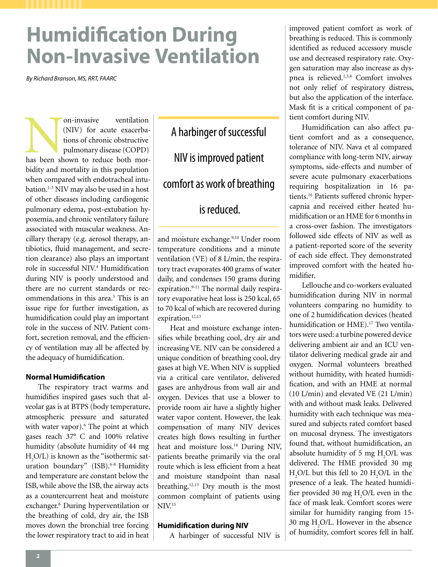# **Humidification During Non-Invasive Ventilation**

*By Richard Branson, MS, RRT, FAARC* 

On-invasive ventilation (NIV) for acute exacerbations of chronic obstructive pulmonary disease (COPD) has been shown to reduce both mor-(NIV) for acute exacerbations of chronic obstructive pulmonary disease (COPD) bidity and mortality in this population when compared with endotracheal intubation.<sup>1-3</sup> NIV may also be used in a host of other diseases including cardiogenic pulmonary edema, post-extubation hypoxemia, and chronic ventilatory failure associated with muscular weakness. Ancillary therapy (e.g. aerosol therapy, antibiotics, fluid management, and secretion clearance) also plays an important role in successful NIV.4 Humidification during NIV is poorly understood and there are no current standards or recommendations in this area.<sup>5</sup> This is an issue ripe for further investigation, as humidification could play an important role in the success of NIV. Patient comfort, secretion removal, and the efficiency of ventilation may all be affected by the adequacy of humidification.

# **Normal Humidification**

The respiratory tract warms and humidifies inspired gases such that alveolar gas is at BTPS (body temperature, atmospheric pressure and saturated with water vapor).<sup>6</sup> The point at which gases reach 37° C and 100% relative humidity (absolute humidity of 44 mg  $H_2O/L$ ) is known as the "isothermic saturation boundary'' (ISB).6-8 Humidity and temperature are constant below the ISB, while above the ISB, the airway acts as a countercurrent heat and moisture exchanger.6 During hyperventilation or the breathing of cold, dry air, the ISB moves down the bronchial tree forcing the lower respiratory tract to aid in heat

A harbinger of successful NIV is improved patient comfort as work of breathing is reduced.

and moisture exchange.<sup>9,10</sup> Under room temperature conditions and a minute ventilation (VE) of 8 L/min, the respiratory tract evaporates 400 grams of water daily, and condenses 150 grams during expiration.<sup>9-11</sup> The normal daily respiratory evaporative heat loss is 250 kcal, 65 to 70 kcal of which are recovered during expiration.<sup>12,13</sup>

Heat and moisture exchange intensifies while breathing cool, dry air and increasing VE. NIV can be considered a unique condition of breathing cool, dry gases at high VE. When NIV is supplied via a critical care ventilator, delivered gases are anhydrous from wall air and oxygen. Devices that use a blower to provide room air have a slightly higher water vapor content. However, the leak compensation of many NIV devices creates high flows resulting in further heat and moisture loss.<sup>14</sup> During NIV, patients breathe primarily via the oral route which is less efficient from a heat and moisture standpoint than nasal breathing.<sup>12,13</sup> Dry mouth is the most common complaint of patients using  $NIV<sup>15</sup>$ 

# **Humidification during NIV**

A harbinger of successful NIV is

improved patient comfort as work of breathing is reduced. This is commonly identified as reduced accessory muscle use and decreased respiratory rate. Oxygen saturation may also increase as dyspnea is relieved.1,3,4 Comfort involves not only relief of respiratory distress, but also the application of the interface. Mask fit is a critical component of patient comfort during NIV.

Humidification can also affect patient comfort and as a consequence, tolerance of NIV. Nava et al compared compliance with long-term NIV, airway symptoms, side-effects and number of severe acute pulmonary exacerbations requiring hospitalization in 16 patients.16 Patients suffered chronic hypercapnia and received either heated humidification or an HME for 6 months in a cross-over fashion. The investigators followed side effects of NIV as well as a patient-reported score of the severity of each side effect. They demonstrated improved comfort with the heated humidifier.

Lellouche and co-workers evaluated humidification during NIV in normal volunteers comparing no humidity to one of 2 humidification devices (heated humidification or HME).<sup>17</sup> Two ventilators were used: a turbine powered device delivering ambient air and an ICU ventilator delivering medical grade air and oxygen. Normal volunteers breathed without humidity, with heated humidification, and with an HME at normal (10 L/min) and elevated VE (21 L/min) with and without mask leaks. Delivered humidity with each technique was measured and subjects rated comfort based on mucosal dryness. The investigators found that, without humidification, an absolute humidity of 5 mg  $H_2O/L$  was delivered. The HME provided 30 mg  $H_2O/L$  but this fell to 20  $H_2O/L$  in the presence of a leak. The heated humidifier provided 30 mg  $H_2O/L$  even in the face of mask leak. Comfort scores were similar for humidity ranging from 15- 30 mg  $H_2O/L$ . However in the absence of humidity, comfort scores fell in half.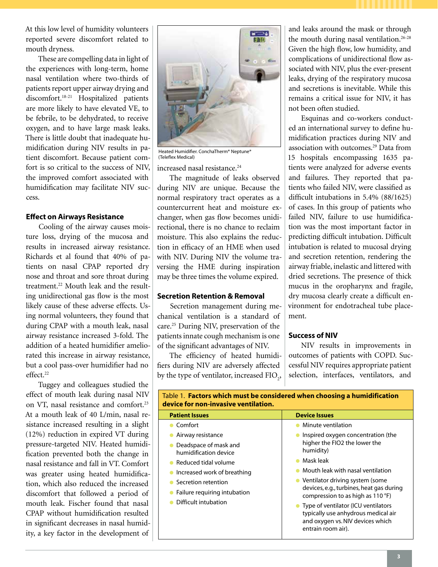At this low level of humidity volunteers reported severe discomfort related to mouth dryness.

These are compelling data in light of the experiences with long-term, home nasal ventilation where two-thirds of patients report upper airway drying and discomfort.18-21 Hospitalized patients are more likely to have elevated VE, to be febrile, to be dehydrated, to receive oxygen, and to have large mask leaks. There is little doubt that inadequate humidification during NIV results in patient discomfort. Because patient comfort is so critical to the success of NIV, the improved comfort associated with humidification may facilitate NIV success.

# **Effect on Airways Resistance**

Cooling of the airway causes moisture loss, drying of the mucosa and results in increased airway resistance. Richards et al found that 40% of patients on nasal CPAP reported dry nose and throat and sore throat during treatment.22 Mouth leak and the resulting unidirectional gas flow is the most likely cause of these adverse effects. Using normal volunteers, they found that during CPAP with a mouth leak, nasal airway resistance increased 3-fold. The addition of a heated humidifier ameliorated this increase in airway resistance, but a cool pass-over humidifier had no effect.<sup>22</sup>

Tuggey and colleagues studied the effect of mouth leak during nasal NIV on VT, nasal resistance and comfort.23 At a mouth leak of 40 L/min, nasal resistance increased resulting in a slight (12%) reduction in expired VT during pressure-targeted NIV. Heated humidification prevented both the change in nasal resistance and fall in VT. Comfort was greater using heated humidification, which also reduced the increased discomfort that followed a period of mouth leak. Fischer found that nasal CPAP without humidification resulted in significant decreases in nasal humidity, a key factor in the development of



Heated Humidifier. ConchaTherm® Neptune® (Teleflex Medical)

increased nasal resistance.<sup>24</sup>

The magnitude of leaks observed during NIV are unique. Because the normal respiratory tract operates as a countercurrent heat and moisture exchanger, when gas flow becomes unidirectional, there is no chance to reclaim moisture. This also explains the reduction in efficacy of an HME when used with NIV. During NIV the volume traversing the HME during inspiration may be three times the volume expired.

# **Secretion Retention & Removal**

Secretion management during mechanical ventilation is a standard of care.25 During NIV, preservation of the patients innate cough mechanism is one of the significant advantages of NIV.

The efficiency of heated humidifiers during NIV are adversely affected by the type of ventilator, increased  $\text{FIO}_2$ ,

and leaks around the mask or through the mouth during nasal ventilation.<sup>26-28</sup> Given the high flow, low humidity, and complications of unidirectional flow associated with NIV, plus the ever-present leaks, drying of the respiratory mucosa and secretions is inevitable. While this remains a critical issue for NIV, it has not been often studied.

Esquinas and co-workers conducted an international survey to define humidification practices during NIV and association with outcomes.<sup>29</sup> Data from 15 hospitals encompassing 1635 patients were analyzed for adverse events and failures. They reported that patients who failed NIV, were classified as difficult intubations in 5.4% (88/1625) of cases. In this group of patients who failed NIV, failure to use humidification was the most important factor in predicting difficult intubation. Difficult intubation is related to mucosal drying and secretion retention, rendering the airway friable, inelastic and littered with dried secretions. The presence of thick mucus in the oropharynx and fragile, dry mucosa clearly create a difficult environment for endotracheal tube placement.

# **Success of NIV**

NIV results in improvements in outcomes of patients with COPD. Successful NIV requires appropriate patient selection, interfaces, ventilators, and

| device for non-invasive ventilation.                                                                                                                                                                      |                                                                                                                             |                                                                                                                                      |
|-----------------------------------------------------------------------------------------------------------------------------------------------------------------------------------------------------------|-----------------------------------------------------------------------------------------------------------------------------|--------------------------------------------------------------------------------------------------------------------------------------|
| <b>Patient Issues</b>                                                                                                                                                                                     | <b>Device Issues</b>                                                                                                        |                                                                                                                                      |
| Comfort                                                                                                                                                                                                   | Minute ventilation                                                                                                          |                                                                                                                                      |
| Airway resistance<br>Deadspace of mask and<br>humidification device<br>Reduced tidal volume<br>Increased work of breathing<br>Secretion retention<br>Failure requiring intubation<br>Difficult intubation | Inspired oxygen concentration (the<br>higher the FIO2 the lower the<br>humidity)                                            |                                                                                                                                      |
|                                                                                                                                                                                                           |                                                                                                                             | Mask leak                                                                                                                            |
|                                                                                                                                                                                                           | Mouth leak with nasal ventilation                                                                                           |                                                                                                                                      |
|                                                                                                                                                                                                           | • Ventilator driving system (some<br>devices, e.g., turbines, heat gas during<br>compression to as high as $110^{\circ}F$ ) |                                                                                                                                      |
|                                                                                                                                                                                                           |                                                                                                                             | Type of ventilator (ICU ventilators<br>typically use anhydrous medical air<br>and oxygen vs. NIV devices which<br>entrain room air). |

Table 1. **Factors which must be considered when choosing a humidification**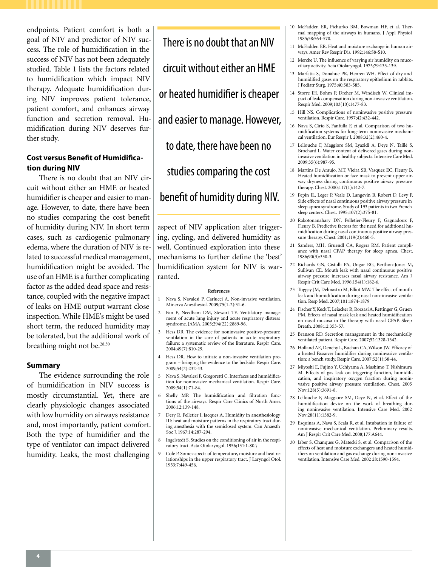endpoints. Patient comfort is both a goal of NIV and predictor of NIV success. The role of humidification in the success of NIV has not been adequately studied. Table 1 lists the factors related to humidification which impact NIV therapy. Adequate humidification during NIV improves patient tolerance, patient comfort, and enhances airway function and secretion removal. Humidification during NIV deserves further study.

# **Cost versus Benefit of Humidification during NIV**

There is no doubt that an NIV circuit without either an HME or heated humidifier is cheaper and easier to manage. However, to date, there have been no studies comparing the cost benefit of humidity during NIV. In short term cases, such as cardiogenic pulmonary edema, where the duration of NIV is related to successful medical management, humidification might be avoided. The use of an HME is a further complicating factor as the added dead space and resistance, coupled with the negative impact of leaks on HME output warrant close inspection. While HME's might be used short term, the reduced humidity may be tolerated, but the additional work of breathing might not be.<sup>28,30</sup>

### **Summary**

The evidence surrounding the role of humidification in NIV success is mostly circumstantial. Yet, there are clearly physiologic changes associated with low humidity on airways resistance and, most importantly, patient comfort. Both the type of humidifier and the type of ventilator can impact delivered humidity. Leaks, the most challenging

There is no doubt that an NIV circuit without either an HME or heated humidifier is cheaper and easier to manage. However, to date, there have been no studies comparing the cost benefit of humidity during NIV.

aspect of NIV application alter triggering, cycling, and delivered humidity as well. Continued exploration into these mechanisms to further define the 'best' humidification system for NIV is warranted.

#### **References**

- 1 Nava S, Navalesi P, Carlucci A. Non-invasive ventilation. Minerva Anesthesiol. 2009;75(1-2):31-6.
- 2 Fan E, Needham DM, Stewart TE. Ventilatory management of acute lung injury and acute respiratory distress syndrome. JAMA. 2005;294(22):2889-96.
- 3 Hess DR. The evidence for noninvasive positive-pressure ventilation in the care of patients in acute respiratory failure: a systematic review of the literature. Respir Care. 2004;49(7):810-29.
- 4 Hess DR. How to initiate a non-invasive ventilation program – bringing the evidence to the bedside. Respir Care. 2009;54(2):232-43.
- 5 Nava S, Navalesi P, Gregoretti C. Interfaces and humidification for noninvasive mechanical ventilation. Respir Care. 2009;54(1):71-84.
- 6 Shelly MP. The humidification and filtration functions of the airways. Respir Care Clinics of North Amer. 2006;12:139-148.
- 7 Dery R, Pelletier J, Jacques A. Humidity in anesthesiology III: heat and moisture patterns in the respiratory tract during anesthesia with the semiclosed system. Can Anaesth Soc J. 1967;14:287-294.
- 8 Ingelstedt S. Studies on the conditioning of air in the respiratory tract. Acta Otolaryngol. 1956;131:1-80.\
- 9 Cole P. Some aspects of temperature, moisture and heat relationships in the upper respiratory tract. J Laryngol Otol. 1953;7:449-456.
- 10 McFadden ER, Pichurko BM, Bowman HF, et al. Thermal mapping of the airways in humans. J Appl Physiol 1985;58:564-570.
- 11 McFadden ER. Heat and moisture exchange in human airways. Amer Rev Respir Dis. 1992;146:S8-S10.
- 12 Mercke U. The influence of varying air humidity on mucociliary activity. Acta Otolaryngol. 1975;79:133-139.
- 13 Marfatia S, Donahue PK, Henren WH. Effect of dry and humidified gases on the respiratory epithelium in rabbits. J Pediatr Surg. 1975;40:583-585.
- 14 Storre JH, Bohm P, Dreher M, Windisch W. Clinical impact of leak compensation during non-invasive ventilation. Respir Med. 2009;103(10):1477-83.
- 15 Hill NS. Complications of noninvasive positive pressure ventilation. Respir Care. 1997;42:432-442.
- 16 Nava S, Cirio S, Fanfulla F, et al. Comparison of two humidification systems for long-term noninvasive mechanical ventilation. Eur Respir J. 2008;32(2):460-4.
- 17 Lellouche F, Maggiore SM, Lyazidi A, Deye N, Taillé S, Brochard L. Water content of delivered gases during noninvasive ventilation in healthy subjects. Intensive Care Med. 2009;35(6):987-95.
- 18 Martins De Araujo, MT, Vieira SB, Vasquez EC, Fleury B. Heated humidification or face mask to prevent upper airway dryness during continuous positive airway pressure therapy. Chest. 2000;117(1):142-7.
- 19 Pepin JL, Leger P, Veale D, Langevin B, Robert D, Levy P. Side effects of nasal continuous positive airway pressure in sleep apnea syndrome. Study of 193 patients in two French sleep centers. Chest. 1995;107(2):375-81.
- 20 Rakotonanahary DN, Pelletier-Fleury F, Gagnadoux F, Fleury B. Predictive factors for the need for additional humidification during nasal continuous positive airway pressure therapy. Chest. 2001;119(2):460-5.
- 21 Sanders, MH, Gruendl CA, Rogers RM. Patient compliance with nasal CPAP therapy for sleep apnea. Chest. 1986;90(3):330-3.
- 22 Richards GN, Cistulli PA, Ungar RG, Berthon-Jones M, Sullivan CE. Mouth leak with nasal continuous positive airway pressure increases nasal airway resistance. Am J Respir Crit Care Med. 1996;154(1):182-6.
- 23 Tuggey JM, Delmastro M, Elliot MW. The effect of mouth leak and humidification during nasal non-invasive ventilation. Resp Med. 2007;101:1874-1879
- 24 Fischer Y, Keck T, Leiacker R, Rozsasi A, Rettinger G, Gruen PM. Effects of nasal mask leak and heated humidification on nasal mucosa in the therapy with nasal CPAP. Sleep Breath. 2008;12:353-57.
- 25 Branson RD. Secretion management in the mechanically ventilated patient. Respir Care. 2007;52:1328-1342.
- 26 Holland AE, Denehy L, Buchan CA, Wilson JW. Efficacy of a heated Passover humidifier during noninvasive ventilation: a bench study. Respir Care. 2007;52(1):38-44.
- 27 Miyoshi E, Fujino Y, Uchiyama A, Mashimo T, Nishimura M. Effects of gas leak on triggering function, humidification, and inspiratory oxygen fraction during noninvasive positive airway pressure ventilation. Chest. 2005 Nov:128(5):3691-8.
- 28 Lellouche F, Maggiore SM, Deye N, et al. Effect of the humidification device on the work of breathing during noninvasive ventilation. Intensive Care Med. 2002 Nov;28(11):1582-9.
- 29 Esquinas A, Nava S, Scala R, et al. Intubation in failure of noninvasive mechanical ventilation. Preliminary results. Am J Respir Crit Care Med. 2008;177:A644.
- 30 Jaber S, Chanques G, Matecki S, et al. Comparison of the effects of heat and moisture exchangers and heated humidifiers on ventilation and gas exchange during non-invasive ventilation. Intensive Care Med. 2002 28:1590-1594.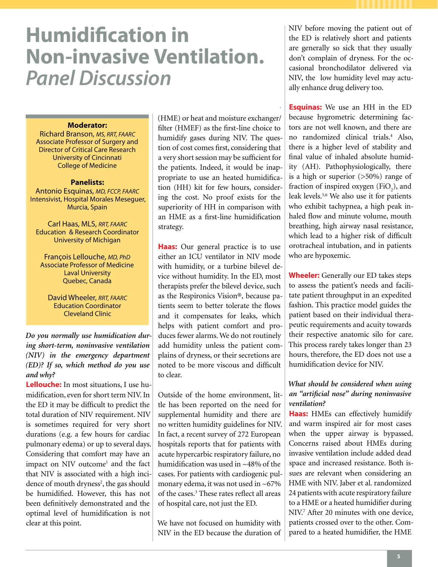# **Humidification in Non-invasive Ventilation.** *Panel Discussion*

### **Moderator:**

Richard Branson, *MS, RRT, FAARC* Associate Professor of Surgery and Director of Critical Care Research University of Cincinnati College of Medicine

## **Panelists:**

Antonio Esquinas, *MD, FCCP, FAARC* Intensivist, Hospital Morales Meseguer, Murcia, Spain

Carl Haas, MLS, *RRT, FAARC* Education & Research Coordinator University of Michigan

François Lellouche, *MD, PhD* Associate Professor of Medicine Laval University Quebec, Canada

David Wheeler, *RRT, FAARC* Education Coordinator Cleveland Clinic

*Do you normally use humidication during short-term, noninvasive ventilation (NIV) in the emergency department (ED)? If so, which method do you use and why?*

**Lellouche:** In most situations, I use humidification, even for short term NIV. In the ED it may be difficult to predict the total duration of NIV requirement. NIV is sometimes required for very short durations (e.g. a few hours for cardiac pulmonary edema) or up to several days. Considering that comfort may have an impact on NIV outcome<sup>1</sup> and the fact that NIV is associated with a high incidence of mouth dryness<sup>2</sup>, the gas should be humidified. However, this has not been definitively demonstrated and the optimal level of humidification is not clear at this point.

(HME) or heat and moisture exchanger/ filter (HMEF) as the first-line choice to humidify gases during NIV. The question of cost comes first, considering that a very short session may be sufficient for the patients. Indeed, it would be inappropriate to use an heated humidification (HH) kit for few hours, considering the cost. No proof exists for the superiority of HH in comparison with an HME as a first-line humidification strategy.

I recommend a heat moisture exchanger

**Haas:** Our general practice is to use either an ICU ventilator in NIV mode with humidity, or a turbine bilevel device without humidity. In the ED, most therapists prefer the bilevel device, such as the Respironics Vision®, because patients seem to better tolerate the flows and it compensates for leaks, which helps with patient comfort and produces fewer alarms. We do not routinely add humidity unless the patient complains of dryness, or their secretions are noted to be more viscous and difficult to clear.

Outside of the home environment, little has been reported on the need for supplemental humidity and there are no written humidity guidelines for NIV. In fact, a recent survey of 272 European hospitals reports that for patients with acute hypercarbic respiratory failure, no humidification was used in ~48% of the cases. For patients with cardiogenic pulmonary edema, it was not used in ~67% of the cases.<sup>3</sup> These rates reflect all areas of hospital care, not just the ED.

We have not focused on humidity with NIV in the ED because the duration of NIV before moving the patient out of the ED is relatively short and patients are generally so sick that they usually don't complain of dryness. For the occasional bronchodilator delivered via NIV, the low humidity level may actually enhance drug delivery too.

**Esquinas:** We use an HH in the ED because hygrometric determining factors are not well known, and there are no randomized clinical trials.4 Also, there is a higher level of stability and final value of inhaled absolute humidity (AH). Pathophysiologically, there is a high or superior (>50%) range of fraction of inspired oxygen  $(FiO_2)$ , and leak levels.5,6 We also use it for patients who exhibit tachypnea, a high peak inhaled flow and minute volume, mouth breathing, high airway nasal resistance, which lead to a higher risk of difficult orotracheal intubation, and in patients who are hypoxemic.

**Wheeler:** Generally our ED takes steps to assess the patient's needs and facilitate patient throughput in an expedited fashion. This practice model guides the patient based on their individual therapeutic requirements and acuity towards their respective anatomic silo for care. This process rarely takes longer than 23 hours, therefore, the ED does not use a humidification device for NIV.

# *What should be considered when using an "artificial nose" during noninvasive ventilation?*

**Haas:** HMEs can effectively humidify and warm inspired air for most cases when the upper airway is bypassed. Concerns raised about HMEs during invasive ventilation include added dead space and increased resistance. Both issues are relevant when considering an HME with NIV. Jaber et al. randomized 24 patients with acute respiratory failure to a HME or a heated humidifier during NIV.7 After 20 minutes with one device, patients crossed over to the other. Compared to a heated humidifier, the HME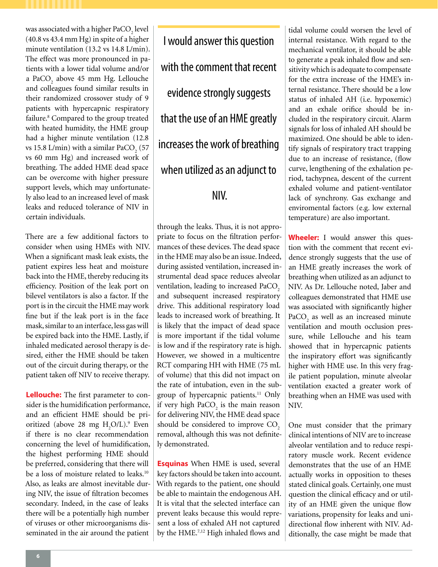was associated with a higher PaCO<sub>2</sub> level (40.8 vs 43.4 mm Hg) in spite of a higher minute ventilation (13.2 vs 14.8 L/min). The effect was more pronounced in patients with a lower tidal volume and/or a PaCO<sub>2</sub> above 45 mm Hg. Lellouche and colleagues found similar results in their randomized crossover study of 9 patients with hypercapnic respiratory failure.<sup>8</sup> Compared to the group treated with heated humidity, the HME group had a higher minute ventilation (12.8 vs 15.8 L/min) with a similar PaCO<sub>2</sub> (57 vs 60 mm Hg) and increased work of breathing. The added HME dead space can be overcome with higher pressure support levels, which may unfortunately also lead to an increased level of mask leaks and reduced tolerance of NIV in certain individuals.

There are a few additional factors to consider when using HMEs with NIV. When a significant mask leak exists, the patient expires less heat and moisture back into the HME, thereby reducing its efficiency. Position of the leak port on bilevel ventilators is also a factor. If the port is in the circuit the HME may work fine but if the leak port is in the face mask, similar to an interface, less gas will be expired back into the HME. Lastly, if inhaled medicated aerosol therapy is desired, either the HME should be taken out of the circuit during therapy, or the patient taken off NIV to receive therapy.

**Lellouche:** The first parameter to consider is the humidification performance, and an efficient HME should be prioritized (above 28 mg  $H_2O/L$ ).<sup>9</sup> Even if there is no clear recommendation concerning the level of humidification, the highest performing HME should be preferred, considering that there will be a loss of moisture related to leaks.<sup>10</sup> Also, as leaks are almost inevitable during NIV, the issue of filtration becomes secondary. Indeed, in the case of leaks there will be a potentially high number of viruses or other microorganisms disseminated in the air around the patient

I would answer this question with the comment that recent evidence strongly suggests that the use of an HME greatly increases the work of breathing when utilized as an adjunct to NIV.

through the leaks. Thus, it is not appropriate to focus on the filtration performances of these devices. The dead space in the HME may also be an issue. Indeed, during assisted ventilation, increased instrumental dead space reduces alveolar ventilation, leading to increased PaCO<sub>2</sub> and subsequent increased respiratory drive. This additional respiratory load leads to increased work of breathing. It is likely that the impact of dead space is more important if the tidal volume is low and if the respiratory rate is high. However, we showed in a multicentre RCT comparing HH with HME (75 mL of volume) that this did not impact on the rate of intubation, even in the subgroup of hypercapnic patients.<sup>11</sup> Only if very high  $PaCO<sub>2</sub>$  is the main reason for delivering NIV, the HME dead space should be considered to improve CO<sub>2</sub> removal, although this was not definitely demonstrated.

**Esquinas** When HME is used, several key factors should be taken into account. With regards to the patient, one should be able to maintain the endogenous AH. It is vital that the selected interface can prevent leaks because this would represent a loss of exhaled AH not captured by the HME.7,12 High inhaled flows and

tidal volume could worsen the level of internal resistance. With regard to the mechanical ventilator, it should be able to generate a peak inhaled flow and sensitivity which is adequate to compensate for the extra increase of the HME's internal resistance. There should be a low status of inhaled AH (i.e. hypoxemic) and an exhale orifice should be included in the respiratory circuit. Alarm signals for loss of inhaled AH should be maximized. One should be able to identify signals of respiratory tract trapping due to an increase of resistance, (flow curve, lengthening of the exhalation period, tachypnea, descent of the current exhaled volume and patient-ventilator lack of synchrony. Gas exchange and enviromental factors (e.g. low external temperature) are also important.

**Wheeler:** I would answer this question with the comment that recent evidence strongly suggests that the use of an HME greatly increases the work of breathing when utilized as an adjunct to NIV. As Dr. Lellouche noted, Jaber and colleagues demonstrated that HME use was associated with significantly higher  $PaCO<sub>2</sub>$  as well as an increased minute ventilation and mouth occlusion pressure, while Lellouche and his team showed that in hypercapnic patients the inspiratory effort was significantly higher with HME use. In this very fragile patient population, minute alveolar ventilation exacted a greater work of breathing when an HME was used with NIV.

One must consider that the primary clinical intentions of NIV are to increase alveolar ventilation and to reduce respiratory muscle work. Recent evidence demonstrates that the use of an HME actually works in opposition to theses stated clinical goals. Certainly, one must question the clinical efficacy and or utility of an HME given the unique flow variations, propensity for leaks and unidirectional flow inherent with NIV. Additionally, the case might be made that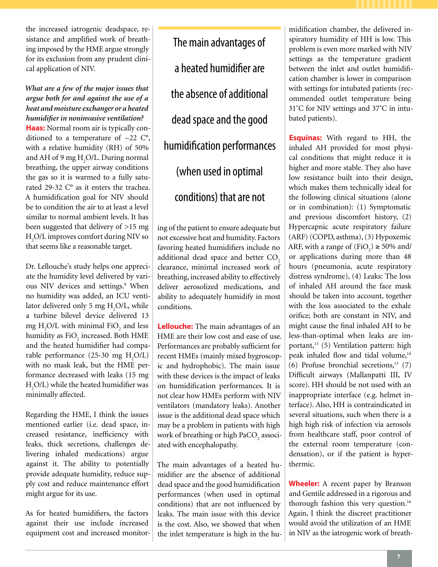the increased iatrogenic deadspace, resistance and amplified work of breathing imposed by the HME argue strongly for its exclusion from any prudent clinical application of NIV.

# *What are a few of the major issues that argue both for and against the use of a heat and moisture exchanger or a heated humidifier in noninvasive ventilation?*

**Haas:** Normal room air is typically conditioned to a temperature of  $\sim$ 22 C°, with a relative humidity (RH) of 50% and AH of 9 mg  $\rm H_2O/L$ . During normal breathing, the upper airway conditions the gas so it is warmed to a fully saturated 29-32 C° as it enters the trachea. A humidification goal for NIV should be to condition the air to at least a level similar to normal ambient levels. It has been suggested that delivery of >15 mg H2 O/L improves comfort during NIV so that seems like a reasonable target.

Dr. Lellouche's study helps one appreciate the humidity level delivered by various NIV devices and settings.<sup>9</sup> When no humidity was added, an ICU ventilator delivered only 5 mg  $H_2O/L$ , while a turbine bilevel device delivered 13 mg  $H_2O/L$  with minimal FiO<sub>2</sub> and less humidity as  $\rm{FiO}_2$  increased. Both HME and the heated humidifier had comparable performance  $(25-30 \text{ mg } H_2O/L)$ with no mask leak, but the HME performance decreased with leaks (15 mg  $H_2O/L$ ) while the heated humidifier was minimally affected.

Regarding the HME, I think the issues mentioned earlier (i.e. dead space, increased resistance, inefficiency with leaks, thick secretions, challenges delivering inhaled medications) argue against it. The ability to potentially provide adequate humidity, reduce supply cost and reduce maintenance effort might argue for its use.

As for heated humidifiers, the factors against their use include increased equipment cost and increased monitor-

The main advantages of a heated humidifier are the absence of additional dead space and the good humidification performances (when used in optimal conditions) that are not

ing of the patient to ensure adequate but not excessive heat and humidity. Factors favoring heated humidifiers include no additional dead space and better CO<sub>2</sub> clearance, minimal increased work of breathing, increased ability to effectively deliver aerosolized medications, and ability to adequately humidify in most conditions.

**Lellouche:** The main advantages of an HME are their low cost and ease of use. Performances are probably sufficient for recent HMEs (mainly mixed hygroscopic and hydrophobic). The main issue with these devices is the impact of leaks on humidification performances. It is not clear how HMEs perform with NIV ventilators (mandatory leaks). Another issue is the additional dead space which may be a problem in patients with high work of breathing or high PaCO $_2$  associated with encephalopathy.

The main advantages of a heated humidifier are the absence of additional dead space and the good humidification performances (when used in optimal conditions) that are not influenced by leaks. The main issue with this device is the cost. Also, we showed that when the inlet temperature is high in the humidification chamber, the delivered inspiratory humidity of HH is low. This problem is even more marked with NIV settings as the temperature gradient between the inlet and outlet humidification chamber is lower in comparison with settings for intubated patients (recommended outlet temperature being 31˚C for NIV settings and 37˚C in intubated patients).

**Esquinas:** With regard to HH, the inhaled AH provided for most physical conditions that might reduce it is higher and more stable. They also have low resistance built into their design, which makes them technically ideal for the following clinical situations (alone or in combination): (1) Symptomatic and previous discomfort history, (2) Hypercapnic acute respiratory failure (ARF) (COPD, asthma), (3) Hypoxemic ARF, with a range of  $(FiO_2) \ge 50\%$  and/ or applications during more than 48 hours (pneumonia, acute respiratory distress syndrome), (4) Leaks: The loss of inhaled AH around the face mask should be taken into account, together with the loss associated to the exhale orifice; both are constant in NIV, and might cause the final inhaled AH to be less-than-optimal when leaks are important,<sup>13</sup> (5) Ventilation pattern: high peak inhaled flow and tidal volume,<sup>14</sup> (6) Profuse bronchial secretions, $15$  (7) Difficult airways (Mallanpatti III, IV score). HH should be not used with an inappropriate interface (e.g. helmet interface). Also, HH is contraindicated in several situations, such when there is a high high risk of infection via aerosols from healthcare staff, poor control of the external room temperature (condensation), or if the patient is hyperthermic.

**Wheeler:** A recent paper by Branson and Gentile addressed in a rigorous and thorough fashion this very question.<sup>16</sup> Again, I think the discreet practitioner would avoid the utilization of an HME in NIV as the iatrogenic work of breath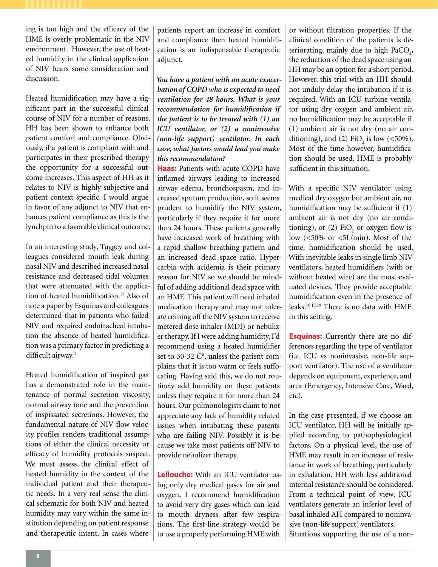ing is too high and the efficacy of the HME is overly problematic in the NIV environment. However, the use of heated humidity in the clinical application of NIV bears some consideration and discussion.

Heated humidification may have a significant part in the successful clinical course of NIV for a number of reasons. HH has been shown to enhance both patient comfort and compliance. Obviously, if a patient is compliant with and participates in their prescribed therapy the opportunity for a successful outcome increases. This aspect of HH as it relates to NIV is highly subjective and patient context specific. I would argue in favor of any adjunct to NIV that enhances patient compliance as this is the lynchpin to a favorable clinical outcome.

In an interesting study, Tuggey and colleagues considered mouth leak during nasal NIV and described increased nasal resistance and decreased tidal volumes that were attenuated with the application of heated humidification.<sup>17</sup> Also of note a paper by Esquinas and colleagues determined that in patients who failed NIV and required endotracheal intubation the absence of heated humidification was a primary factor in predicting a difficult airway.<sup>4</sup>

Heated humidification of inspired gas has a demonstrated role in the maintenance of normal secretion viscosity, normal airway tone and the prevention of inspissated secretions. However, the fundamental nature of NIV flow velocity profiles renders traditional assumptions of either the clinical necessity or efficacy of humidity protocols suspect. We must assess the clinical effect of heated humidity in the context of the individual patient and their therapeutic needs. In a very real sense the clinical schematic for both NIV and heated humidity may vary within the same institution depending on patient response and therapeutic intent. In cases where

patients report an increase in comfort and compliance then heated humidification is an indispensable therapeutic adjunct.

*You have a patient with an acute exacerbation of COPD who is expected to need ventilation for 48 hours. What is your recommendation for humidification if the patient is to be treated with (1) an ICU ventilator, or (2) a noninvasive (non-life support) ventilator. In each case, what factors would lead you make this recommendation?*

**Haas:** Patients with acute COPD have inflamed airways leading to increased airway edema, bronchospasm, and increased sputum production, so it seems prudent to humidify the NIV system, particularly if they require it for more than 24 hours. These patients generally have increased work of breathing with a rapid shallow breathing pattern and an increased dead space ratio. Hypercarbia with acidemia is their primary reason for NIV so we should be mindful of adding additional dead space with an HME. This patient will need inhaled medication therapy and may not tolerate coming off the NIV system to receive metered dose inhaler (MDI) or nebulizer therapy. If I were adding humidity, I'd recommend using a heated humidifier set to 30-32 C°, unless the patient complains that it is too warm or feels suffocating. Having said this, we do not routinely add humidity on these patients unless they require it for more than 24 hours. Our pulmonologists claim to not appreciate any lack of humidity related issues when intubating these patents who are failing NIV. Possibly it is because we take most patients off NIV to provide nebulizer therapy.

**Lellouche:** With an ICU ventilator using only dry medical gases for air and oxygen, I recommend humidification to avoid very dry gases which can lead to mouth dryness after few respirations. The first-line strategy would be to use a properly performing HME with or without filtration properties. If the clinical condition of the patients is deteriorating, mainly due to high  $PaCO<sub>2</sub>$ , the reduction of the dead space using an HH may be an option for a short period. However, this trial with an HH should not unduly delay the intubation if it is required. With an ICU turbine ventilator using dry oxygen and ambient air, no humidification may be acceptable if (1) ambient air is not dry (no air conditioning), and (2)  $FiO_2$  is low (<50%). Most of the time however, humidification should be used. HME is probably sufficient in this situation.

With a specific NIV ventilator using medical dry oxygen but ambient air, no humidification may be sufficient if (1) ambient air is not dry (no air conditioning), or  $(2)$  FiO<sub>2</sub> or oxygen flow is low  $\left( \langle 50\% \text{ or } \langle 5L/\text{min} \rangle \right)$ . Most of the time, humidification should be used. With inevitable leaks in single limb NIV ventilators, heated humidifiers (with or without heated wire) are the most evaluated devices. They provide acceptable humidification even in the presence of leaks.10,18,19 There is no data with HME in this setting.

**Esquinas:** Currently there are no differences regarding the type of ventilator (i.e. ICU vs noninvasive, non-life support ventilator). The use of a ventilator depends on equipment, experience, and area (Emergency, Intensive Care, Ward, etc).

In the case presented, if we choose an ICU ventilator, HH will be initially applied according to pathophysiological factors. On a physical level, the use of HME may result in an increase of resistance in work of breathing, particularly in exhalation. HH with less additional internal resistance should be considered. From a technical point of view, ICU ventilators generate an inferior level of basal inhaled AH compared to noninvasive (non-life support) ventilators. Situations supporting the use of a non-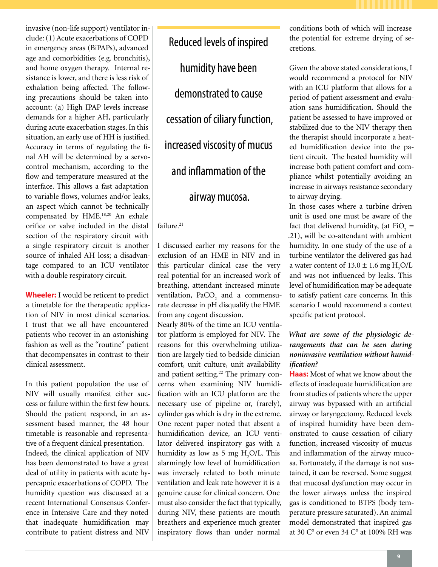invasive (non-life support) ventilator include: (1) Acute exacerbations of COPD in emergency areas (BiPAPs), advanced age and comorbidities (e.g. bronchitis), and home oxygen therapy. Internal resistance is lower, and there is less risk of exhalation being affected. The following precautions should be taken into account: (a) High IPAP levels increase demands for a higher AH, particularly during acute exacerbation stages. In this situation, an early use of HH is justified. Accuracy in terms of regulating the final AH will be determined by a servocontrol mechanism, according to the flow and temperature measured at the interface. This allows a fast adaptation to variable flows, volumes and/or leaks, an aspect which cannot be technically compensated by HME.<sup>18,20</sup> An exhale orifice or valve included in the distal section of the respiratory circuit with a single respiratory circuit is another source of inhaled AH loss; a disadvantage compared to an ICU ventilator with a double respiratory circuit.

**Wheeler:** I would be reticent to predict a timetable for the therapeutic application of NIV in most clinical scenarios. I trust that we all have encountered patients who recover in an astonishing fashion as well as the "routine" patient that decompensates in contrast to their clinical assessment.

In this patient population the use of NIV will usually manifest either success or failure within the first few hours. Should the patient respond, in an assessment based manner, the 48 hour timetable is reasonable and representative of a frequent clinical presentation. Indeed, the clinical application of NIV has been demonstrated to have a great deal of utility in patients with acute hypercapnic exacerbations of COPD. The humidity question was discussed at a recent International Consensus Conference in Intensive Care and they noted that inadequate humidification may contribute to patient distress and NIV

Reduced levels of inspired humidity have been demonstrated to cause cessation of ciliary function, increased viscosity of mucus and inflammation of the airway mucosa.

# failure.<sup>21</sup>

I discussed earlier my reasons for the exclusion of an HME in NIV and in this particular clinical case the very real potential for an increased work of breathing, attendant increased minute ventilation,  $PaCO<sub>2</sub>$  and a commensurate decrease in pH disqualify the HME from any cogent discussion.

Nearly 80% of the time an ICU ventilator platform is employed for NIV. The reasons for this overwhelming utilization are largely tied to bedside clinician comfort, unit culture, unit availability and patient setting.<sup>22</sup> The primary concerns when examining NIV humidification with an ICU platform are the necessary use of pipeline or, (rarely), cylinder gas which is dry in the extreme. One recent paper noted that absent a humidification device, an ICU ventilator delivered inspiratory gas with a humidity as low as 5 mg  $H_2O/L$ . This alarmingly low level of humidification was inversely related to both minute ventilation and leak rate however it is a genuine cause for clinical concern. One must also consider the fact that typically, during NIV, these patients are mouth breathers and experience much greater inspiratory flows than under normal

conditions both of which will increase the potential for extreme drying of secretions.

Given the above stated considerations, I would recommend a protocol for NIV with an ICU platform that allows for a period of patient assessment and evaluation sans humidification. Should the patient be assessed to have improved or stabilized due to the NIV therapy then the therapist should incorporate a heated humidification device into the patient circuit. The heated humidity will increase both patient comfort and compliance whilst potentially avoiding an increase in airways resistance secondary to airway drying.

In those cases where a turbine driven unit is used one must be aware of the fact that delivered humidity, (at  $FiO_2 =$ .21), will be co-attendant with ambient humidity. In one study of the use of a turbine ventilator the delivered gas had a water content of  $13.0 \pm 1.6$  mg H<sub>2</sub>O/L and was not influenced by leaks. This level of humidification may be adequate to satisfy patient care concerns. In this scenario I would recommend a context specific patient protocol.

# *What are some of the physiologic derangements that can be seen during noninvasive ventilation without humidification?*

**Haas:** Most of what we know about the effects of inadequate humidification are from studies of patients where the upper airway was bypassed with an artificial airway or laryngectomy. Reduced levels of inspired humidity have been demonstrated to cause cessation of ciliary function, increased viscosity of mucus and inflammation of the airway mucosa. Fortunately, if the damage is not sustained, it can be reversed. Some suggest that mucosal dysfunction may occur in the lower airways unless the inspired gas is conditioned to BTPS (body temperature pressure saturated). An animal model demonstrated that inspired gas at 30 C° or even 34 C° at 100% RH was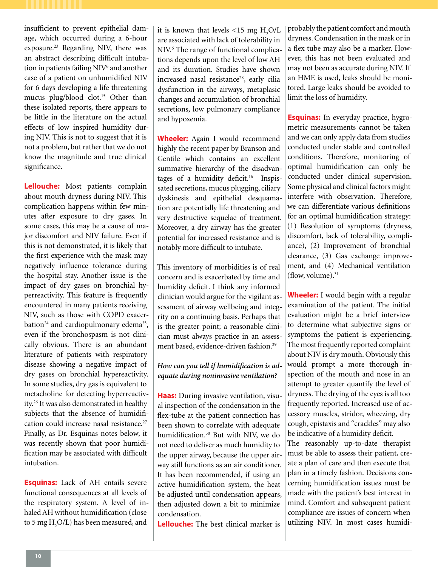insufficient to prevent epithelial damage, which occurred during a 6-hour exposure.23 Regarding NIV, there was an abstract describing difficult intubation in patients failing NIV<sup>6</sup> and another case of a patient on unhumidified NIV for 6 days developing a life threatening mucus plug/blood clot.15 Other than these isolated reports, there appears to be little in the literature on the actual effects of low inspired humidity during NIV. This is not to suggest that it is not a problem, but rather that we do not know the magnitude and true clinical significance.

**Lellouche:** Most patients complain about mouth dryness during NIV. This complication happens within few minutes after exposure to dry gases. In some cases, this may be a cause of major discomfort and NIV failure. Even if this is not demonstrated, it is likely that the first experience with the mask may negatively influence tolerance during the hospital stay. Another issue is the impact of dry gases on bronchial hyperreactivity. This feature is frequently encountered in many patients receiving NIV, such as those with COPD exacerbation<sup>24</sup> and cardiopulmonary edema<sup>25</sup>, even if the bronchospasm is not clinically obvious. There is an abundant literature of patients with respiratory disease showing a negative impact of dry gases on bronchial hypereactivity. In some studies, dry gas is equivalent to metacholine for detecting hyperreactivity.26 It was also demonstrated in healthy subjects that the absence of humidification could increase nasal resistance.<sup>27</sup> Finally, as Dr. Esquinas notes below, it was recently shown that poor humidification may be associated with difficult intubation.

**Esquinas:** Lack of AH entails severe functional consequences at all levels of the respiratory system. A level of inhaled AH without humidification (close to 5 mg  $H_2O/L$ ) has been measured, and

it is known that levels  $\langle 15 \text{ mg } H_{2}O/L \rangle$ are associated with lack of tolerability in NIV.<sup>6</sup> The range of functional complications depends upon the level of low AH and its duration. Studies have shown increased nasal resistance<sup>28</sup>, early cilia dysfunction in the airways, metaplasic changes and accumulation of bronchial secretions, low pulmonary compliance and hypoxemia.

**Wheeler:** Again I would recommend highly the recent paper by Branson and Gentile which contains an excellent summative hierarchy of the disadvantages of a humidity deficit.<sup>16</sup> Inspissated secretions, mucus plugging, ciliary dyskinesis and epithelial desquamation are potentially life threatening and very destructive sequelae of treatment. Moreover, a dry airway has the greater potential for increased resistance and is notably more difficult to intubate.

This inventory of morbidities is of real concern and is exacerbated by time and humidity deficit. I think any informed clinician would argue for the vigilant assessment of airway wellbeing and integrity on a continuing basis. Perhaps that is the greater point; a reasonable clinician must always practice in an assessment based, evidence-driven fashion.<sup>29</sup>

# *How can you tell if humidification is adequate during noninvasive ventilation?*

**Haas:** During invasive ventilation, visual inspection of the condensation in the flex-tube at the patient connection has been shown to correlate with adequate humidification.<sup>30</sup> But with NIV, we do not need to deliver as much humidity to the upper airway, because the upper airway still functions as an air conditioner. It has been recommended, if using an active humidification system, the heat be adjusted until condensation appears, then adjusted down a bit to minimize condensation.

**Lellouche:** The best clinical marker is

probably the patient comfort and mouth dryness. Condensation in the mask or in a flex tube may also be a marker. However, this has not been evaluated and may not been as accurate during NIV. If an HME is used, leaks should be monitored. Large leaks should be avoided to limit the loss of humidity.

**Esquinas:** In everyday practice, hygrometric measurements cannot be taken and we can only apply data from studies conducted under stable and controlled conditions. Therefore, monitoring of optimal humidification can only be conducted under clinical supervision. Some physical and clinical factors might interfere with observation. Therefore, we can differentiate various definitions for an optimal humidification strategy: (1) Resolution of symptoms (dryness, discomfort, lack of tolerability, compliance), (2) Improvement of bronchial clearance, (3) Gas exchange improvement, and (4) Mechanical ventilation (flow, volume). $31$ 

**Wheeler:** I would begin with a regular examination of the patient. The initial evaluation might be a brief interview to determine what subjective signs or symptoms the patient is experiencing. The most frequently reported complaint about NIV is dry mouth. Obviously this would prompt a more thorough inspection of the mouth and nose in an attempt to greater quantify the level of dryness. The drying of the eyes is all too frequently reported. Increased use of accessory muscles, stridor, wheezing, dry cough, epistaxis and "crackles" may also be indicative of a humidity deficit.

The reasonably up-to-date therapist must be able to assess their patient, create a plan of care and then execute that plan in a timely fashion. Decisions concerning humidification issues must be made with the patient's best interest in mind. Comfort and subsequent patient compliance are issues of concern when utilizing NIV. In most cases humidi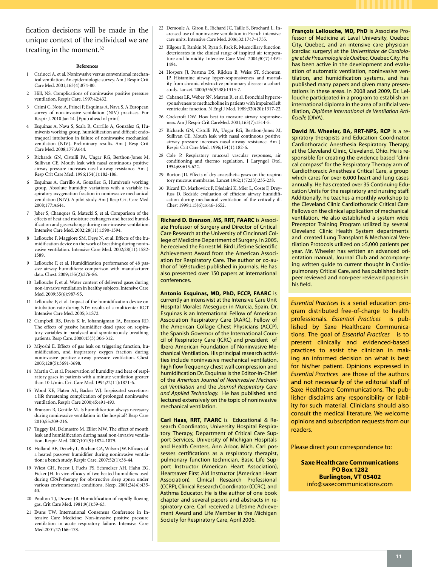fication decisions will be made in the unique context of the individual we are treating in the moment.<sup>32</sup>

#### **References**

- 1 Carlucci A, et al. Noninvasive versus conventional mechanical ventilation. An epidemiologic survey. Am J Respir Crit Care Med. 2001;163(4):874-80.
- 2 Hill, NS. Complications of noninvasive positive pressure ventilation. Respir Care. 1997;42:432.
- 3 Crimi C, Noto A, Princi P, Esquinas A, Nava S. A European survey of non-invasive ventilation (NIV) practices. Eur Respir J. 2010 Jan 14. [Epub ahead of print]
- 4 Esquinas A, Nava S, Scala R, Carrillo A, González G, Humivenis working group. humidification and difficult endotraqueal intubation in failure of noninvasive mechanical ventilation (NIV). Preliminary results. Am J Resp Crit Care Med. 2008;177:A644.
- 5 Richards GN, Cistulli PA, Ungar RG, Berthon-Jones M, Sullivan CE. Mouth leak with nasal continuous positive airway pressure increases nasal airway resistance. Am J Resp Crit Care Med. 1996;154(1):182-186.
- 6 Esquinas A, Carrillo A, González G, Humivenis working group. Absolute humidity variations with a variable inspiratory oxygenation fraction in noninvasive mechanical ventilation (NIV). A pilot study. Am J Resp Crit Care Med. 2008;177:A644.
- 7 Jaber S, Chanques G, Matecki S, et al. Comparison of the effects of heat and moisture exchangers and heated humidification and gas exchange during non-invasive ventilation. Intensive Care Med. 2002;28(11):1590-1594.
- 8 Lellouche F, Maggiore SM, Deye N, et al. Effects of the humidification device on the work of breathing during noninvasive ventilation. Intensive Care Med. 2002;28(11):1582- 1589.
- 9 Lellouche F, et al. Humidification performance of 48 passive airway humidifiers: comparison with manufacturer data. Chest. 2009;135(2):276-86.
- 10 Lellouche F, et al. Water content of delivered gases during non-invasive ventilation in healthy subjects. Intensive Care Med. 2009;35(6):987-95.
- 11 Lellouche F, et al. Impact of the humidification device on intubation rate during NIV: results of a multicenter RCT. Intensive Care Med. 2005;31:S72.
- 12 Campbell RS, Davis K Jr, Johannigman JA, Branson RD. The effects of passive humidifier dead space on respiratory variables in paralyzed and spontaneously breathing patients. Resp Care. 2000;45(3):306-312.
- 13 Miyoshi E. Effects of gas leak on triggering function, humidification, and inspiratory oxygen fraction during noninvasive positive airway pressure ventilation. Chest 2005;128(5):3691-3698.
- 14 Martin C, et al. Preservation of humidity and heat of respiratory gases in patients with a minute ventilation greater than 10 L/min. Crit Care Med. 1994;22(11):1871-6.
- 15 Wood KE, Flaten AL, Backes WJ. Inspissated secretions: a life threatening complication of prolonged noninvasive ventilation. Respir Care 2000;45:491-493.
- 16 Branson R, Gentile M. Is humidification always necessary during noninvasive ventilation in the hospital? Resp Care 2010;55:209-216.
- 17 Tuggey JM, Delmastro M, Elliot MW. The effect of mouth leak and humidification during nasal non-invasive ventilation. Respir Med. 2007;101(9):1874-1879.
- 18 Holland AE, Denehy L, Buchan CA, Wilson JW. Efficacy of a heated passover humidifier during noninvasive ventilation: a bench study. Respir Care. 2007;52(1):38-44.
- 19 Wiest GH, Foerst J, Fuchs FS, Schmelzer AH, Hahn EG, Ficker JH. In vivo efficacy of two heated humidifiers used during CPAP-therapy for obstructive sleep apnea under various environmental conditions. Sleep. 2001;24(4):435- 40.
- 20 Poulton TJ, Downs JB. Humidification of rapidly flowing gas. Crit Care Med. 1981;9(1):59-63.
- 21 Evans TW. International Consensus Conference in Intensive Care Medicine: Non-invasive positive pressure ventilation in acute respiratory failure. Intensive Care Med.2001;27:166–178.
- 22 Demoule A, Girou E, Richard JC, Taille S, Brochard L. Increased use of noninvasive ventilation in French intensive care units. Intensive Care Med. 2006;32:1747–1755.
- 23 Kilgour E, Rankin N, Ryan S, Pack R. Mucociliary function deteriorates in the clinical range of inspired air temperature and humidity. Intensive Care Med. 2004;30(7):1491- 1494.
- 24 Hospers JJ, Postma DS, Rijcken B, Weiss ST, Schouten JP. Histamine airway hyper-responsiveness and mortality from chronic obstructive pulmonary disease: a cohort study. Lancet. 2000;356(9238):1313-7.
- 25 Cabanes LR, Weber SN, Matran R, et al. Bronchial hyperresponsiveness to methacholine in patients with impaired left ventricular function. N Engl J Med. 1989;320(20):1317-22.
- 26 Cockcroft DW. How best to measure airway responsiveness. Am J Respir Crit CareMed. 2001;163(7):1514-5.
- 27 Richards GN, Cistulli PA, Ungar RG, Berthon-Jones M, Sullivan CE. Mouth leak with nasal continuous positive airway pressure increases nasal airway resistance. Am J Respir Crit Care Med. 1996;154(1):182-6.
- 28 Cole P. Respiratory mucosal vascular responses, air conditioning and thermo regulation. J Laryngol Otol. 1954;68:613-622.
- 29 Burton JD. Effects of dry anaesthetic gases on the respiratory mucous membrane. Lancet 1962;1(7223):235-238.
- 30 Ricard JD, Markowicz P, Djedaini K, Mier L, Coste F, Dreyfuss D. Bedside evaluation of efficient airway humidification during mechanical ventilation of the critically ill. Chest 1999;115(6):1646-1652.

**Richard D. Branson**, **MS, RRT, FAARC** is Associate Professor of Surgery and Director of Critical Care Research at the University of Cincinnati College of Medicine Department of Surgery. In 2005, he received the Forrest M. Bird Lifetime Scientific Achievement Award from the American Association for Respiratory Care. The author or co-author of 169 studies published in journals. He has also presented over 150 papers at international conferences.

**Antonio Esquinas, MD, PhD, FCCP, FAARC** is currently an intensivist at the Intensive Care Unit Hospital Morales Meseguer in Murcia, Spain. Dr. Esquinas is an International Fellow of American Association Respiratory Care (AARC), Fellow of the American Collage Chest Physicians (ACCP), the Spanish Governor of the International Council of Respiratory Care (ICRC) and president of Ibero American Foundation of Noninvasive Mechanical Ventilation. His principal research activities include noninvasive mechanical ventilation, high flow frequency chest wall compression and humidification Dr. Esquinas is the Editor-in-Chief of the *American Journal of Noninvasive Mechanical Ventilation* and the *Journal Respiratory Care and Applied Technology.* He has published and lectured extensively on the topic of noninvasive mechanical ventilation.

**Carl Haas, RRT, FAARC** is Educational & Research Coordinator, University Hospital Respiratory Therapy, Department of Critical Care Support Services, University of Michigan Hospitals and Health Centers, Ann Arbor, Mich. Carl possesses certifications as a respiratory therapist, pulmonary function technician, Basic Life Support Instructor (American Heart Association), Heartsaver First Aid Instructor (American Heart Association), Clinical Research Professional (CCRP), Clinical Research Coordinator (CCRC), and Asthma Educator. He is the author of one book chapter and several papers and abstracts in respiratory care. Carl received a Lifetime Achievement Award and Life Member in the Michigan Society for Respiratory Care, April 2006.

**François Lellouche, MD, PhD** is Associate Professor of Medicine at Laval University, Quebec City, Quebec, and an intensive care physician (cardiac surgery) at the *Universitaire de Cardiologie et de Pneumologie de Québec,* Quebec City. He has been active in the development and evaluation of automatic ventilation, noninvasive ventilation, and humidification systems, and has published many papers and given many presentations in these areas. In 2008 and 2009, Dr. Lellouche participated in a program to establish an international diploma in the area of artificial ventilation, *Diplôme International de Ventilation Artificielle* (DIVA).

**David M. Wheeler, BA, RRT-NPS, RCP** is a respiratory therapists and Education Coordinator, Cardiothoracic Anesthesia Respiratory Therapy, at the Cleveland Clinic, Cleveland, Ohio. He is responsible for creating the evidence based "clinical compass" for the Respiratory Therapy arm of Cardiothoracic Anesthesia Critical Care, a group which cares for over 6,000 heart and lung cases annually. He has created over 35 Continuing Education Units for the respiratory and nursing staff. Additionally, he teaches a monthly workshop to the Cleveland Clinic Cardiothoracic Critical Care Fellows on the clinical application of mechanical ventilation. He also established a system wide Preceptor Training Program utilized by several Cleveland Clinic Health System departments and created Lung Transplant & Mechanical Ventilation Protocols utilized on >5,000 patients per year. Mr. Wheeler has written an advanced orientation manual, Journal Club and accompanying written guide to current thought in Cardiopulmonary Critical Care, and has published both peer reviewed and non-peer reviewed papers in his field.

*Essential Practices* is a serial education program distributed free-of-charge to health professionals. *Essential Practices* is published by Saxe Healthcare Communications. The goal of *Essential Practices* is to present clinically and evidenced-based practices to assist the clinician in making an informed decision on what is best for his/her patient. Opinions expressed in *Essential Practices* are those of the authors and not necessarily of the editorial staff of Saxe Healthcare Communications. The publisher disclaims any responsibility or liability for such material. Clinicians should also consult the medical literature. We welcome opinions and subscription requests from our readers.

Please direct your correspondence to:

**Saxe Healthcare Communications PO Box 1282 Burlington, VT 05402** info@saxecommunications.com